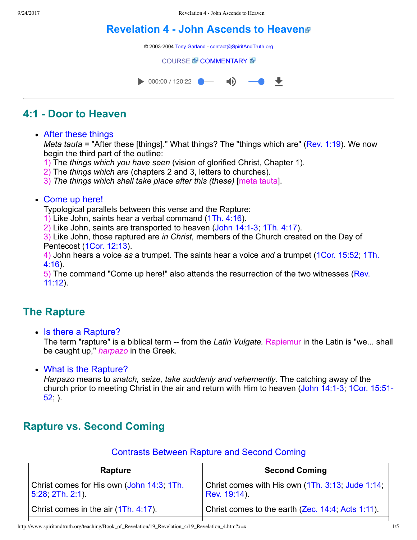# **[Revelation 4 John Ascends to Heaven](http://www.spiritandtruth.org/teaching/Book_of_Revelation/19_Revelation_4/index.htm)**

© 2003-2004 [Tony Garland](http://www.spiritandtruth.org/teaching/teachers/tony_garland/bio.htm) - [contact@SpiritAndTruth.org](mailto:contact@SpiritAndTruth.org?subject=ST-MAIL:%20Revelation%204%20-%20John%20Ascends%20to%20Heaven)

#### **[COURSE](http://www.spiritandtruth.org/teaching/Book_of_Revelation/19_Revelation_4/index.htm) & [COMMENTARY](http://www.spiritandtruth.org/teaching/Book_of_Revelation/commentary/htm/index.html?Revelation_4) &**



## **4:1 Door to Heaven**

#### • After these things

*Meta tauta* = "After these [things]." What things? The "things which are" ([Rev. 1:19](http://www.spiritandtruth.org/bibles/nasb/b66c001.htm#Rev._C1V19)). We now begin the third part of the outline:

1) The *things which you have seen* (vision of glorified Christ, Chapter 1).

2) The *things which are* (chapters 2 and 3, letters to churches).

3) *The things which shall take place after this (these)* [meta tauta].

#### • Come up here!

Typological parallels between this verse and the Rapture:

1) Like John, saints hear a verbal command [\(1Th. 4:16](http://www.spiritandtruth.org/bibles/nasb/b52c004.htm#1Th._C4V16)).

2) Like John, saints are transported to heaven  $(John 14:1-3, 1Th. 4:17)$  $(John 14:1-3, 1Th. 4:17)$  $(John 14:1-3, 1Th. 4:17)$ .

3) Like John, those raptured are *in Christ,* members of the Church created on the Day of Pentecost ([1Cor. 12:13\)](http://www.spiritandtruth.org/bibles/nasb/b46c012.htm#1Cor._C12V13).

4) John hears a voice *as* [a trumpet. The saints hear a voice](http://www.spiritandtruth.org/bibles/nasb/b52c004.htm#1Th._C4V16) *and* a trumpet ([1Cor. 15:52](http://www.spiritandtruth.org/bibles/nasb/b46c015.htm#1Cor._C15V52); 1Th. 4:16).

[5\) The command "Come up here!" also attends the resurrection of the two witnesses \(Rev.](http://www.spiritandtruth.org/bibles/nasb/b66c011.htm#Rev._C11V12) 11:12).

## **The Rapture**

• Is there a Rapture?

The term "rapture" is a biblical term -- from the *Latin Vulgate.* Rapiemur in the Latin is "we... shall be caught up," *harpazo* in the Greek.

• What is the Rapture?

*Harpazo* means to *snatch, seize, take suddenly and vehemently*. The catching away of the church prior to meeting Christ in the air and return with Him to heaven (John 14:1-3; 1Cor. 15:51- $52$ .

# **Rapture vs. Second Coming**

### Contrasts Between Rapture and Second Coming

| Rapture                                                               | <b>Second Coming</b>                                             |  |  |
|-----------------------------------------------------------------------|------------------------------------------------------------------|--|--|
| Christ comes for His own (John 14:3, 1Th.<br>$ 5:28, 2Th. 2:1\rangle$ | Christ comes with His own (1Th. 3:13, Jude 1:14,<br>Rev. 19:14). |  |  |
| Christ comes in the air (1Th. 4:17).                                  | Christ comes to the earth (Zec. 14:4, Acts 1:11).                |  |  |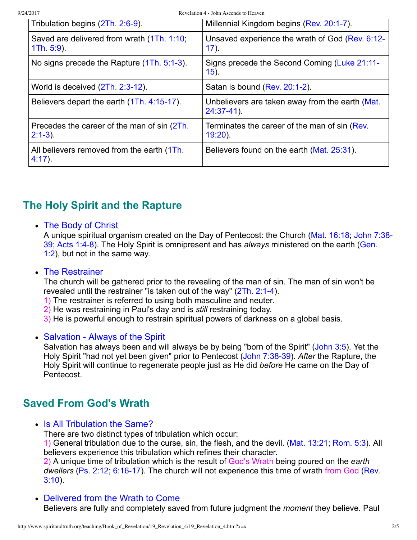9/24/2017 Revelation 4 - John Ascends to Heaven

| Tribulation begins (2Th. 2:6-9).                          | Millennial Kingdom begins (Rev. 20:1-7).                         |
|-----------------------------------------------------------|------------------------------------------------------------------|
| Saved are delivered from wrath (1Th. 1:10;<br>1Th. 5:9.   | Unsaved experience the wrath of God (Rev. 6:12-<br>$17)$ .       |
| No signs precede the Rapture (1Th. 5:1-3).                | Signs precede the Second Coming (Luke 21:11-<br>$15)$ .          |
| World is deceived (2Th. 2:3-12).                          | Satan is bound (Rev. 20:1-2).                                    |
| Believers depart the earth (1Th. 4:15-17).                | Unbelievers are taken away from the earth (Mat.<br>$24:37-41$ ). |
| Precedes the career of the man of sin (2Th.<br>$2:1-3$ ). | Terminates the career of the man of sin (Rev.<br>$19:20$ ).      |
| All believers removed from the earth (1Th.<br>$4:17$ ).   | Believers found on the earth (Mat. 25:31).                       |

# **The Holy Spirit and the Rapture**

### The Body of Christ

[A unique spiritual organism created on the Day of Pentecost: the Church \(Mat. 16:18; John 7:38](http://www.spiritandtruth.org/bibles/nasb/b43c007.htm#John_C7V38) 39; Acts 1:4-8). The Holy Spirit is omnipresent and has *always* ministered on the earth (Gen. 1:2), but not in the same way.

### The Restrainer

The church will be gathered prior to the revealing of the man of sin. The man of sin won't be revealed until the restrainer "is taken out of the way" (2Th. 2:1-4).

1) The restrainer is referred to using both masculine and neuter.

2) He was restraining in Paul's day and is *still* restraining today.

3) He is powerful enough to restrain spiritual powers of darkness on a global basis.

### • Salvation - Always of the Spirit

Salvation has always been and will always be by being "born of the Spirit" ([John 3:5](http://www.spiritandtruth.org/bibles/nasb/b43c003.htm#John_C3V5)). Yet the Holy Spirit "had not yet been given" prior to Pentecost (John 7:38-39). After the Rapture, the Holy Spirit will continue to regenerate people just as He did *before* He came on the Day of Pentecost.

# **Saved From God's Wrath**

• Is All Tribulation the Same?

There are two distinct types of tribulation which occur:

1) General tribulation due to the curse, sin, the flesh, and the devil. [\(Mat. 13:21;](http://www.spiritandtruth.org/bibles/nasb/b40c013.htm#Mat._C13V21) [Rom. 5:3\)](http://www.spiritandtruth.org/bibles/nasb/b45c005.htm#Rom._C5V3). All believers experience this tribulation which refines their character.

2) A unique time of tribulation which is the result of God's Wrath being poured on the *earth dwellers* (Ps. 2:12, 6:16-17). The church will not experience this time of wrath from God (Rev. 3:10).

Delivered from the Wrath to Come Believers are fully and completely saved from future judgment the *moment* they believe. Paul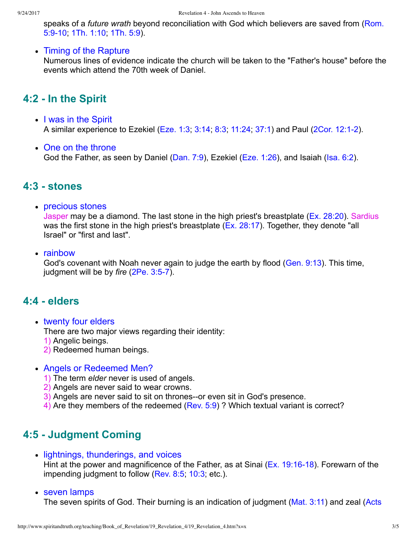speaks of a *future wrath* [beyond reconciliation with God which believers are saved from \(Rom.](http://www.spiritandtruth.org/bibles/nasb/b45c005.htm#Rom._C5V9) 5:910; [1Th. 1:10;](http://www.spiritandtruth.org/bibles/nasb/b54c001.htm#1Ti._C1V19) [1Th. 5:9](http://www.spiritandtruth.org/bibles/nasb/b52c005.htm#1Th._C5V9)).

• Timing of the Rapture

Numerous lines of evidence indicate the church will be taken to the "Father's house" before the events which attend the 70th week of Daniel.

## **4:2 In the Spirit**

- I was in the Spirit A similar experience to Ezekiel ([Eze. 1:3;](http://www.spiritandtruth.org/bibles/nasb/b26c001.htm#Eze._C1V3) [3:14](http://www.spiritandtruth.org/bibles/nasb/b26c003.htm#Eze._C3V14); [8:3;](http://www.spiritandtruth.org/bibles/nasb/b26c008.htm#Eze._C8V3) [11:24](http://www.spiritandtruth.org/bibles/nasb/b26c011.htm#Eze._C11V24); [37:1](http://www.spiritandtruth.org/bibles/nasb/b26c037.htm#Eze._C37V1)) and Paul [\(2Cor. 12:12](http://www.spiritandtruth.org/bibles/nasb/b47c012.htm#2Cor._C12V1)).
- One on the throne God the Father, as seen by Daniel ([Dan. 7:9](http://www.spiritandtruth.org/bibles/nasb/b27c007.htm#Dan._C7V9)), Ezekiel ([Eze. 1:26](http://www.spiritandtruth.org/bibles/nasb/b26c001.htm#Eze._C1V26)), and Isaiah ([Isa. 6:2\)](http://www.spiritandtruth.org/bibles/nasb/b23c006.htm#Isa._C6V2).

## **4:3 stones**

precious stones

Jasper may be a diamond. The last stone in the high priest's breastplate ( $Ex. 28:20$ ). Sardius was the first stone in the high priest's breastplate ([Ex. 28:17\)](http://www.spiritandtruth.org/bibles/nasb/b02c028.htm#Ex._C28V17). Together, they denote "all Israel" or "first and last".

• rainbow

God's covenant with Noah never again to judge the earth by flood ([Gen. 9:13](http://www.spiritandtruth.org/bibles/nasb/b01c009.htm#Gen._C9V13)). This time, judgment will be by *fire* (2Pe. 3:5-7).

### **4:4 elders**

• twenty four elders

There are two major views regarding their identity:

- 1) Angelic beings.
- 2) Redeemed human beings.
- Angels or Redeemed Men?
	- 1) The term *elder* never is used of angels.
	- 2) Angels are never said to wear crowns.
	- 3) Angels are never said to sit on thrones--or even sit in God's presence.
	- 4) Are they members of the redeemed [\(Rev. 5:9\)](http://www.spiritandtruth.org/bibles/nasb/b66c005.htm#Rev._C5V9) ? Which textual variant is correct?

# **4:5 Judgment Coming**

• lightnings, thunderings, and voices

Hint at the power and magnificence of the Father, as at Sinai (Ex. 19:16-18). Forewarn of the impending judgment to follow ([Rev. 8:5](http://www.spiritandtruth.org/bibles/nasb/b66c008.htm#Rev._C8V5); [10:3](http://www.spiritandtruth.org/bibles/nasb/b66c010.htm#Rev._C10V3); etc.).

seven lamps

[The seven spirits of God. Their burning is an indication of judgment \(Mat. 3:11\) and zeal \(Acts](http://www.spiritandtruth.org/bibles/nasb/b44c002.htm#Acts_C2V3)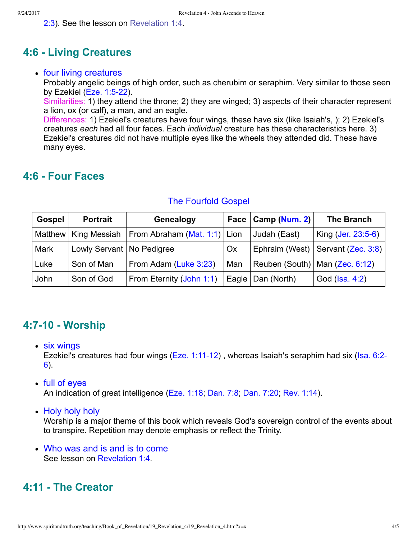[2:3\). See the lesson on Revelation 1:4.](http://www.spiritandtruth.org/bibles/nasb/b44c002.htm#Acts_C2V3) 

## **4:6 Living Creatures**

#### • four living creatures

Probably angelic beings of high order, such as cherubim or seraphim. Very similar to those seen by Ezekiel  $(Eze. 1:5-22)$ .

Similarities: 1) they attend the throne; 2) they are winged; 3) aspects of their character represent a lion, ox (or calf), a man, and an eagle.

Differences: 1) Ezekiel's creatures have four wings, these have six (like Isaiah's, ); 2) Ezekiel's creatures *each* had all four faces. Each *individual* creature has these characteristics here. 3) Ezekiel's creatures did not have multiple eyes like the wheels they attended did. These have many eyes.

## **4:6 Four Faces**

| <b>Gospel</b> | <b>Portrait</b>             | Genealogy                    |     | Face   Camp (Num. 2)             | <b>The Branch</b>                   |
|---------------|-----------------------------|------------------------------|-----|----------------------------------|-------------------------------------|
|               | Matthew   King Messiah      | From Abraham (Mat. 1:1) Lion |     | Judah (East)                     | King (Jer. 23:5-6)                  |
| Mark          | Lowly Servant   No Pedigree |                              | Ox  |                                  | Ephraim (West)   Servant (Zec. 3:8) |
| Luke          | Son of Man                  | From Adam (Luke 3:23)        | Man | Reuben (South)   Man (Zec. 6:12) |                                     |
| John          | Son of God                  | From Eternity (John 1:1)     |     | Eagle   Dan (North)              | God (Isa. 4:2)                      |

#### The Fourfold Gospel

### **4:710 Worship**

six wings

Ezekiel's creatures had four wings ( $E$ ze. 1:11-12), whereas Isaiah's seraphim had six (Isa. 6:2-6).

#### full of eyes

An indication of great intelligence ([Eze. 1:18](http://www.spiritandtruth.org/bibles/nasb/b26c001.htm#Eze._C1V18); [Dan. 7:8;](http://www.spiritandtruth.org/bibles/nasb/b27c007.htm#Dan._C7V8) [Dan. 7:20](http://www.spiritandtruth.org/bibles/nasb/b27c007.htm#Dan._C7V20); [Rev. 1:14](http://www.spiritandtruth.org/bibles/nasb/b66c001.htm#Rev._C1V14)).

• Holy holy holy

Worship is a major theme of this book which reveals God's sovereign control of the events about to transpire. Repetition may denote emphasis or reflect the Trinity.

Who was and is and is to come See lesson on [Revelation 1:4](http://www.spiritandtruth.org/teaching/Book_of_Revelation/11_Revelation_1_3-4.index.htm).

## **4:11 The Creator**